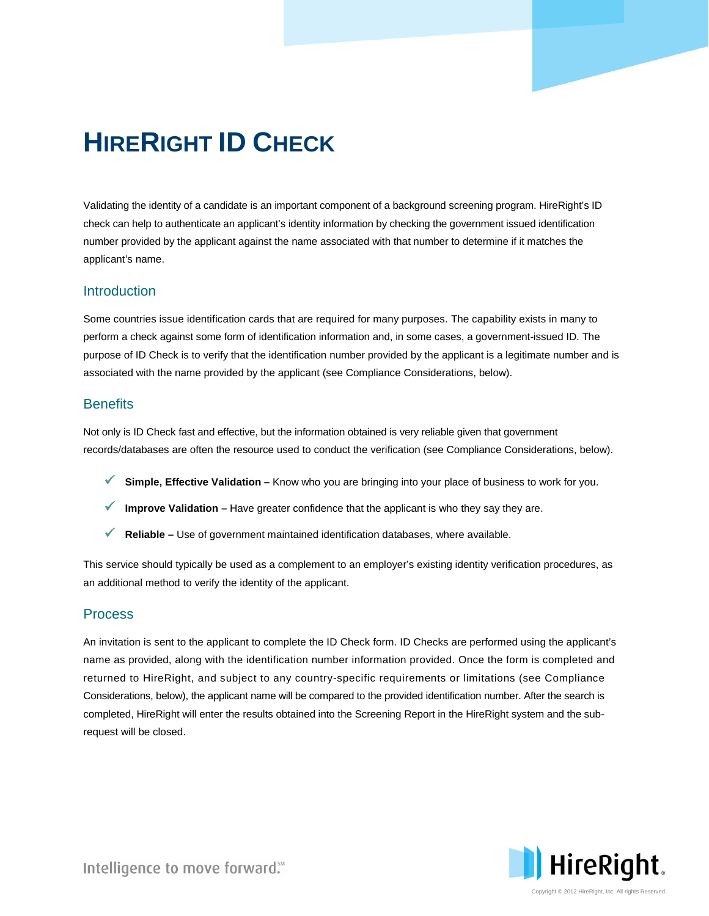# **HIRERIGHT ID CHECK**

Validating the identity of a candidate is an important component of a background screening program. HireRight's ID check can help to authenticate an applicant's identity information by checking the government issued identification number provided by the applicant against the name associated with that number to determine if it matches the applicant's name.

### **Introduction**

Some countries issue identification cards that are required for many purposes. The capability exists in many to perform a check against some form of identification information and, in some cases, a government-issued ID. The purpose of ID Check is to verify that the identification number provided by the applicant is a legitimate number and is associated with the name provided by the applicant (see Compliance Considerations, below).

#### **Benefits**

Not only is ID Check fast and effective, but the information obtained is very reliable given that government records/databases are often the resource used to conduct the verification (see Compliance Considerations, below).

- **Simple, Effective Validation –** Know who you are bringing into your place of business to work for you.
- **Improve Validation –** Have greater confidence that the applicant is who they say they are.
- **Reliable –** Use of government maintained identification databases, where available.

This service should typically be used as a complement to an employer's existing identity verification procedures, as an additional method to verify the identity of the applicant.

### Process

An invitation is sent to the applicant to complete the ID Check form. ID Checks are performed using the applicant's name as provided, along with the identification number information provided. Once the form is completed and returned to HireRight, and subject to any country-specific requirements or limitations (see Compliance Considerations, below), the applicant name will be compared to the provided identification number. After the search is completed, HireRight will enter the results obtained into the Screening Report in the HireRight system and the subrequest will be closed.



Intelligence to move forward."